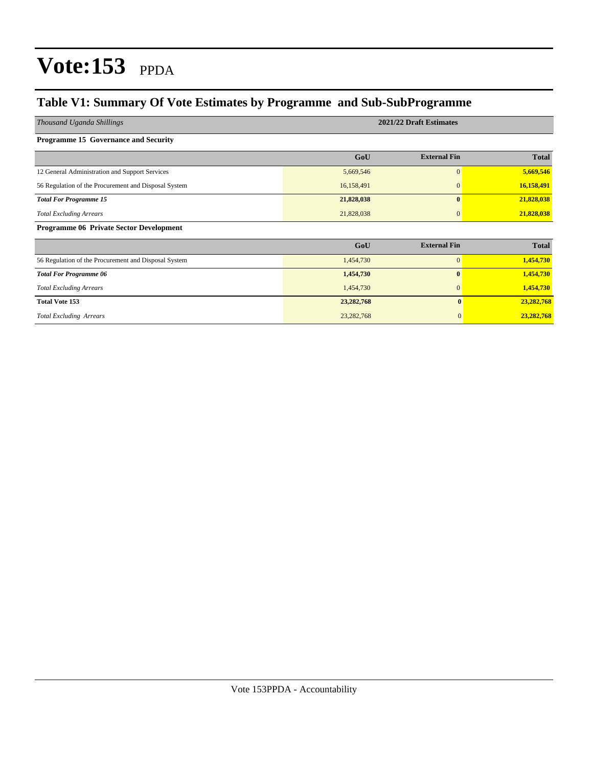## **Table V1: Summary Of Vote Estimates by Programme and Sub-SubProgramme**

| Thousand Uganda Shillings                            | 2021/22 Draft Estimates |                     |              |  |  |  |  |  |
|------------------------------------------------------|-------------------------|---------------------|--------------|--|--|--|--|--|
| Programme 15 Governance and Security                 |                         |                     |              |  |  |  |  |  |
|                                                      | GoU                     | <b>External Fin</b> | <b>Total</b> |  |  |  |  |  |
| 12 General Administration and Support Services       | 5,669,546               | $\overline{0}$      | 5,669,546    |  |  |  |  |  |
| 56 Regulation of the Procurement and Disposal System | 16,158,491              | $\mathbf{0}$        | 16,158,491   |  |  |  |  |  |
| <b>Total For Programme 15</b>                        | 21,828,038              | $\bf{0}$            | 21,828,038   |  |  |  |  |  |
| <b>Total Excluding Arrears</b>                       | 21,828,038              | $\mathbf{0}$        | 21,828,038   |  |  |  |  |  |
| <b>Programme 06 Private Sector Development</b>       |                         |                     |              |  |  |  |  |  |
|                                                      | GoU                     | <b>External Fin</b> | <b>Total</b> |  |  |  |  |  |
| 56 Regulation of the Procurement and Disposal System | 1,454,730               | $\mathbf{0}$        | 1,454,730    |  |  |  |  |  |
| <b>Total For Programme 06</b>                        | 1,454,730               | 0                   | 1,454,730    |  |  |  |  |  |
| <b>Total Excluding Arrears</b>                       | 1,454,730               | $\mathbf{0}$        | 1,454,730    |  |  |  |  |  |
| <b>Total Vote 153</b>                                | 23, 282, 768            | $\mathbf{0}$        | 23,282,768   |  |  |  |  |  |
| <b>Total Excluding Arrears</b>                       | 23, 282, 768            | $\overline{0}$      | 23,282,768   |  |  |  |  |  |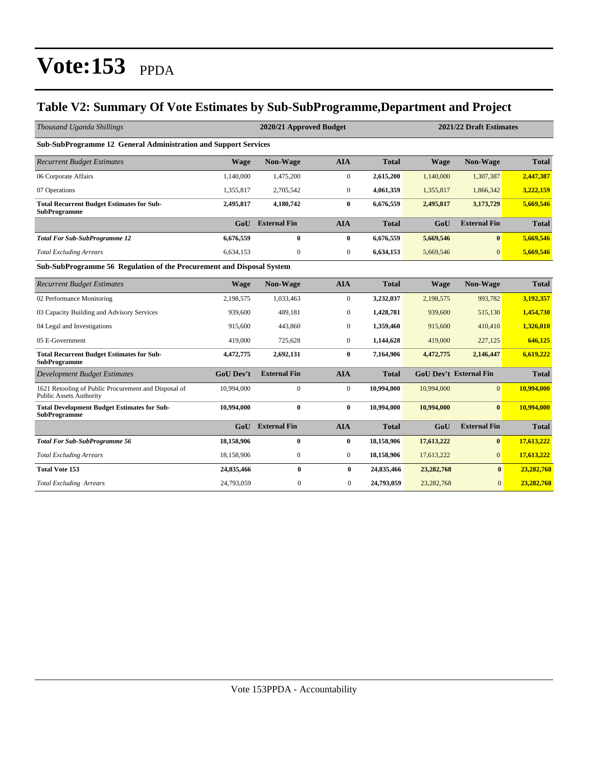## **Table V2: Summary Of Vote Estimates by Sub-SubProgramme,Department and Project**

| Thousand Uganda Shillings                                                              |                  | 2020/21 Approved Budget | 2021/22 Draft Estimates |              |              |                               |              |
|----------------------------------------------------------------------------------------|------------------|-------------------------|-------------------------|--------------|--------------|-------------------------------|--------------|
| Sub-SubProgramme 12 General Administration and Support Services                        |                  |                         |                         |              |              |                               |              |
| <b>Recurrent Budget Estimates</b>                                                      | <b>Wage</b>      | Non-Wage                | <b>AIA</b>              | <b>Total</b> | Wage         | <b>Non-Wage</b>               | <b>Total</b> |
| 06 Corporate Affairs                                                                   | 1,140,000        | 1,475,200               | $\boldsymbol{0}$        | 2,615,200    | 1,140,000    | 1,307,387                     | 2,447,387    |
| 07 Operations                                                                          | 1,355,817        | 2,705,542               | $\mathbf{0}$            | 4,061,359    | 1,355,817    | 1,866,342                     | 3,222,159    |
| <b>Total Recurrent Budget Estimates for Sub-</b><br><b>SubProgramme</b>                | 2,495,817        | 4,180,742               | $\bf{0}$                | 6,676,559    | 2,495,817    | 3,173,729                     | 5,669,546    |
|                                                                                        |                  | <b>GoU</b> External Fin | <b>AIA</b>              | <b>Total</b> | GoU          | <b>External Fin</b>           | <b>Total</b> |
| <b>Total For Sub-SubProgramme 12</b>                                                   | 6,676,559        | $\bf{0}$                | $\bf{0}$                | 6,676,559    | 5,669,546    | $\mathbf{0}$                  | 5,669,546    |
| <b>Total Excluding Arrears</b>                                                         | 6,634,153        | $\mathbf{0}$            | $\mathbf{0}$            | 6,634,153    | 5,669,546    | $\overline{0}$                | 5.669.546    |
| Sub-SubProgramme 56 Regulation of the Procurement and Disposal System                  |                  |                         |                         |              |              |                               |              |
| <b>Recurrent Budget Estimates</b>                                                      | <b>Wage</b>      | Non-Wage                | <b>AIA</b>              | <b>Total</b> | <b>Wage</b>  | Non-Wage                      | <b>Total</b> |
| 02 Performance Monitoring                                                              | 2,198,575        | 1,033,463               | $\boldsymbol{0}$        | 3,232,037    | 2,198,575    | 993,782                       | 3,192,357    |
| 03 Capacity Building and Advisory Services                                             | 939,600          | 489.181                 | $\mathbf{0}$            | 1,428,781    | 939,600      | 515,130                       | 1,454,730    |
| 04 Legal and Investigations                                                            | 915,600          | 443,860                 | $\boldsymbol{0}$        | 1,359,460    | 915,600      | 410,410                       | 1,326,010    |
| 05 E-Government                                                                        | 419,000          | 725,628                 | $\overline{0}$          | 1,144,628    | 419,000      | 227,125                       | 646,125      |
| <b>Total Recurrent Budget Estimates for Sub-</b><br><b>SubProgramme</b>                | 4,472,775        | 2,692,131               | $\bf{0}$                | 7,164,906    | 4,472,775    | 2,146,447                     | 6.619.222    |
| <b>Development Budget Estimates</b>                                                    | <b>GoU Dev't</b> | <b>External Fin</b>     | <b>AIA</b>              | <b>Total</b> |              | <b>GoU Dev't External Fin</b> | <b>Total</b> |
| 1621 Retooling of Public Procurement and Disposal of<br><b>Public Assets Authority</b> | 10,994,000       | $\mathbf{0}$            | $\mathbf{0}$            | 10,994,000   | 10,994,000   | $\Omega$                      | 10,994,000   |
| <b>Total Development Budget Estimates for Sub-</b><br><b>SubProgramme</b>              | 10,994,000       | $\bf{0}$                | $\bf{0}$                | 10,994,000   | 10,994,000   | $\mathbf{0}$                  | 10,994,000   |
|                                                                                        | GoU              | <b>External Fin</b>     | <b>AIA</b>              | <b>Total</b> | GoU          | <b>External Fin</b>           | <b>Total</b> |
| <b>Total For Sub-SubProgramme 56</b>                                                   | 18,158,906       | $\bf{0}$                | $\bf{0}$                | 18,158,906   | 17,613,222   | $\bf{0}$                      | 17,613,222   |
| <b>Total Excluding Arrears</b>                                                         | 18,158,906       | $\boldsymbol{0}$        | $\boldsymbol{0}$        | 18,158,906   | 17,613,222   | $\overline{0}$                | 17,613,222   |
| <b>Total Vote 153</b>                                                                  | 24,835,466       | $\bf{0}$                | $\bf{0}$                | 24,835,466   | 23,282,768   | $\bf{0}$                      | 23,282,768   |
| <b>Total Excluding Arrears</b>                                                         | 24,793,059       | $\mathbf{0}$            | $\mathbf{0}$            | 24,793,059   | 23, 282, 768 | $\overline{0}$                | 23,282,768   |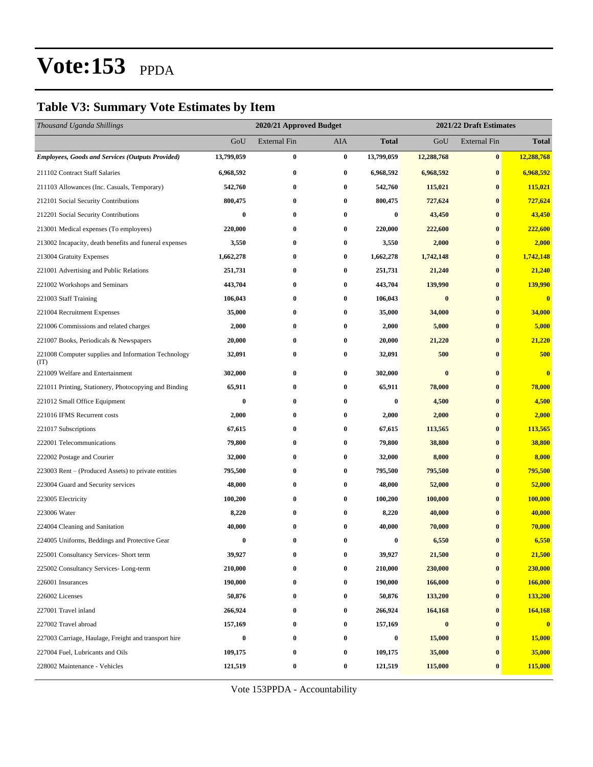### **Table V3: Summary Vote Estimates by Item**

| Thousand Uganda Shillings                                   |                  | 2020/21 Approved Budget<br>2021/22 Draft Estimates |           |                  |            |                  |              |
|-------------------------------------------------------------|------------------|----------------------------------------------------|-----------|------------------|------------|------------------|--------------|
|                                                             | GoU              | External Fin                                       | AIA       | <b>Total</b>     | GoU        | External Fin     | <b>Total</b> |
| <b>Employees, Goods and Services (Outputs Provided)</b>     | 13,799,059       | $\bf{0}$                                           | $\bf{0}$  | 13,799,059       | 12,288,768 | $\bf{0}$         | 12,288,768   |
| 211102 Contract Staff Salaries                              | 6,968,592        | $\bf{0}$                                           | $\bf{0}$  | 6,968,592        | 6,968,592  | $\bf{0}$         | 6,968,592    |
| 211103 Allowances (Inc. Casuals, Temporary)                 | 542,760          | $\bf{0}$                                           | $\bf{0}$  | 542,760          | 115,021    | $\bf{0}$         | 115,021      |
| 212101 Social Security Contributions                        | 800,475          | $\bf{0}$                                           | $\bf{0}$  | 800,475          | 727,624    | $\bf{0}$         | 727,624      |
| 212201 Social Security Contributions                        | $\bf{0}$         | $\bf{0}$                                           | $\bf{0}$  | $\bf{0}$         | 43,450     | $\bf{0}$         | 43,450       |
| 213001 Medical expenses (To employees)                      | 220,000          | $\bf{0}$                                           | $\bf{0}$  | 220,000          | 222,600    | $\bf{0}$         | 222,600      |
| 213002 Incapacity, death benefits and funeral expenses      | 3,550            | $\bf{0}$                                           | $\bf{0}$  | 3,550            | 2,000      | $\bf{0}$         | 2,000        |
| 213004 Gratuity Expenses                                    | 1,662,278        | $\bf{0}$                                           | $\bf{0}$  | 1,662,278        | 1,742,148  | $\bf{0}$         | 1,742,148    |
| 221001 Advertising and Public Relations                     | 251,731          | $\bf{0}$                                           | $\bf{0}$  | 251,731          | 21,240     | $\bf{0}$         | 21,240       |
| 221002 Workshops and Seminars                               | 443,704          | $\bf{0}$                                           | $\bf{0}$  | 443,704          | 139,990    | $\bf{0}$         | 139,990      |
| 221003 Staff Training                                       | 106,043          | $\bf{0}$                                           | $\bf{0}$  | 106,043          | $\bf{0}$   | $\bf{0}$         | $\bf{0}$     |
| 221004 Recruitment Expenses                                 | 35,000           | $\bf{0}$                                           | $\bf{0}$  | 35,000           | 34,000     | $\bf{0}$         | 34,000       |
| 221006 Commissions and related charges                      | 2,000            | $\bf{0}$                                           | $\bf{0}$  | 2,000            | 5,000      | $\bf{0}$         | 5,000        |
| 221007 Books, Periodicals & Newspapers                      | 20,000           | $\bf{0}$                                           | $\bf{0}$  | 20,000           | 21,220     | $\bf{0}$         | 21,220       |
| 221008 Computer supplies and Information Technology<br>(TT) | 32,091           | $\bf{0}$                                           | $\bf{0}$  | 32,091           | 500        | $\bf{0}$         | 500          |
| 221009 Welfare and Entertainment                            | 302,000          | $\bf{0}$                                           | $\bf{0}$  | 302,000          | $\bf{0}$   | $\bf{0}$         | $\bf{0}$     |
| 221011 Printing, Stationery, Photocopying and Binding       | 65,911           | $\bf{0}$                                           | $\bf{0}$  | 65,911           | 78,000     | $\bf{0}$         | 78,000       |
| 221012 Small Office Equipment                               | $\bf{0}$         | $\bf{0}$                                           | $\bf{0}$  | $\bf{0}$         | 4,500      | $\bf{0}$         | 4,500        |
| 221016 IFMS Recurrent costs                                 | 2,000            | $\bf{0}$                                           | $\bf{0}$  | 2,000            | 2,000      | $\bf{0}$         | 2,000        |
| 221017 Subscriptions                                        | 67,615           | $\bf{0}$                                           | 0         | 67,615           | 113,565    | $\bf{0}$         | 113,565      |
| 222001 Telecommunications                                   | 79,800           | $\bf{0}$                                           | $\bf{0}$  | 79,800           | 38,800     | $\bf{0}$         | 38,800       |
| 222002 Postage and Courier                                  | 32,000           | $\bf{0}$                                           | $\bf{0}$  | 32,000           | 8,000      | $\bf{0}$         | 8,000        |
| 223003 Rent – (Produced Assets) to private entities         | 795,500          | $\bf{0}$                                           | $\bf{0}$  | 795,500          | 795,500    | $\bf{0}$         | 795,500      |
| 223004 Guard and Security services                          | 48,000           | $\bf{0}$                                           | $\bf{0}$  | 48,000           | 52,000     | $\bf{0}$         | 52,000       |
| 223005 Electricity                                          | 100,200          | $\bf{0}$                                           | 0         | 100,200          | 100,000    | $\bf{0}$         | 100,000      |
| 223006 Water                                                | 8,220            | $\bf{0}$                                           | $\bf{0}$  | 8,220            | 40,000     | $\bf{0}$         | 40,000       |
| 224004 Cleaning and Sanitation                              | 40,000           | $\bf{0}$                                           | 0         | 40,000           | 70,000     | $\bf{0}$         | 70,000       |
| 224005 Uniforms, Beddings and Protective Gear               | $\bf{0}$         | $\bf{0}$                                           | 0         | $\bf{0}$         | 6,550      | $\bf{0}$         | 6,550        |
| 225001 Consultancy Services- Short term                     | 39,927           | 0                                                  | $\pmb{0}$ | 39,927           | 21,500     | $\boldsymbol{0}$ | 21,500       |
| 225002 Consultancy Services-Long-term                       | 210,000          | $\bf{0}$                                           | 0         | 210,000          | 230,000    | $\bf{0}$         | 230,000      |
| 226001 Insurances                                           | 190,000          | $\bf{0}$                                           | $\bf{0}$  | 190,000          | 166,000    | $\boldsymbol{0}$ | 166,000      |
| 226002 Licenses                                             | 50,876           | $\bf{0}$                                           | $\bf{0}$  | 50,876           | 133,200    | $\bf{0}$         | 133,200      |
| 227001 Travel inland                                        | 266,924          | $\bf{0}$                                           | $\bf{0}$  | 266,924          | 164,168    | $\boldsymbol{0}$ | 164,168      |
| 227002 Travel abroad                                        | 157,169          | $\bf{0}$                                           | $\bf{0}$  | 157,169          | $\bf{0}$   | $\bf{0}$         | $\mathbf{0}$ |
| 227003 Carriage, Haulage, Freight and transport hire        | $\boldsymbol{0}$ | $\bf{0}$                                           | $\bf{0}$  | $\boldsymbol{0}$ | 15,000     | $\bf{0}$         | 15,000       |
| 227004 Fuel, Lubricants and Oils                            | 109,175          | $\bf{0}$                                           | $\bf{0}$  | 109,175          | 35,000     | $\boldsymbol{0}$ | 35,000       |
| 228002 Maintenance - Vehicles                               | 121,519          | $\bf{0}$                                           | $\bf{0}$  | 121,519          | 115,000    | $\pmb{0}$        | 115,000      |

Vote 153PPDA - Accountability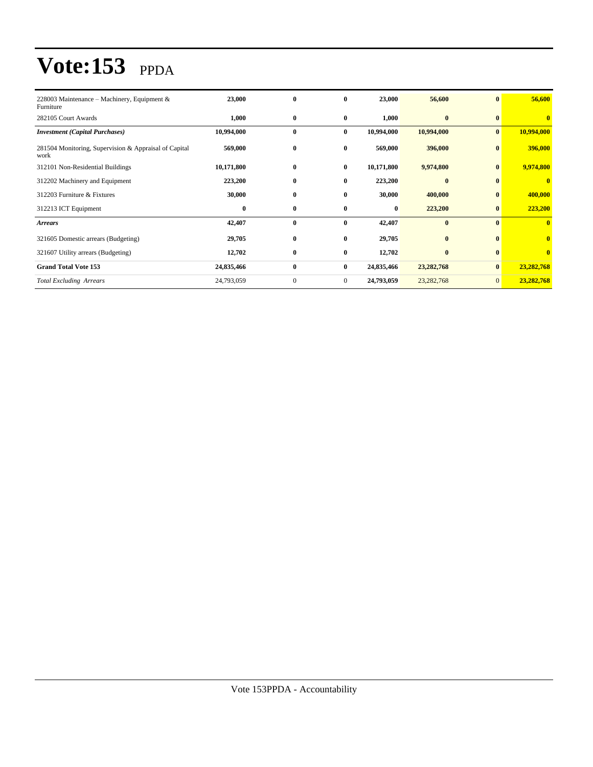| 228003 Maintenance – Machinery, Equipment $\&$<br>Furniture   | 23,000     | $\bf{0}$     | $\bf{0}$       | 23,000     | 56,600       | $\bf{0}$     | 56,600                  |
|---------------------------------------------------------------|------------|--------------|----------------|------------|--------------|--------------|-------------------------|
| 282105 Court Awards                                           | 1,000      | $\bf{0}$     | $\bf{0}$       | 1,000      | $\bf{0}$     | $\bf{0}$     | $\mathbf{0}$            |
| <b>Investment</b> (Capital Purchases)                         | 10,994,000 | $\bf{0}$     | $\bf{0}$       | 10,994,000 | 10,994,000   | $\mathbf{0}$ | 10,994,000              |
| 281504 Monitoring, Supervision & Appraisal of Capital<br>work | 569,000    | $\bf{0}$     | $\bf{0}$       | 569,000    | 396,000      | $\bf{0}$     | 396,000                 |
| 312101 Non-Residential Buildings                              | 10,171,800 | $\bf{0}$     | $\bf{0}$       | 10,171,800 | 9,974,800    | $\bf{0}$     | 9,974,800               |
| 312202 Machinery and Equipment                                | 223,200    | $\bf{0}$     | $\bf{0}$       | 223,200    | $\mathbf{0}$ | $\mathbf{0}$ | $\bf{0}$                |
| 312203 Furniture & Fixtures                                   | 30,000     | $\bf{0}$     | $\bf{0}$       | 30,000     | 400,000      | $\bf{0}$     | 400,000                 |
| 312213 ICT Equipment                                          | $\bf{0}$   | $\bf{0}$     | $\bf{0}$       | 0          | 223,200      | $\bf{0}$     | 223,200                 |
| <b>Arrears</b>                                                | 42,407     | $\bf{0}$     | $\bf{0}$       | 42,407     | $\bf{0}$     | $\mathbf{0}$ | $\bf{0}$                |
| 321605 Domestic arrears (Budgeting)                           | 29,705     | $\bf{0}$     | $\mathbf{0}$   | 29,705     | $\bf{0}$     | $\mathbf{0}$ | $\overline{\mathbf{0}}$ |
| 321607 Utility arrears (Budgeting)                            | 12,702     | $\bf{0}$     | $\bf{0}$       | 12,702     | $\bf{0}$     | $\mathbf{0}$ | $\mathbf{0}$            |
| <b>Grand Total Vote 153</b>                                   | 24,835,466 | $\bf{0}$     | $\bf{0}$       | 24,835,466 | 23, 282, 768 | $\bf{0}$     | 23,282,768              |
| <b>Total Excluding Arrears</b>                                | 24,793,059 | $\mathbf{0}$ | $\overline{0}$ | 24,793,059 | 23, 282, 768 | $\mathbf{0}$ | 23,282,768              |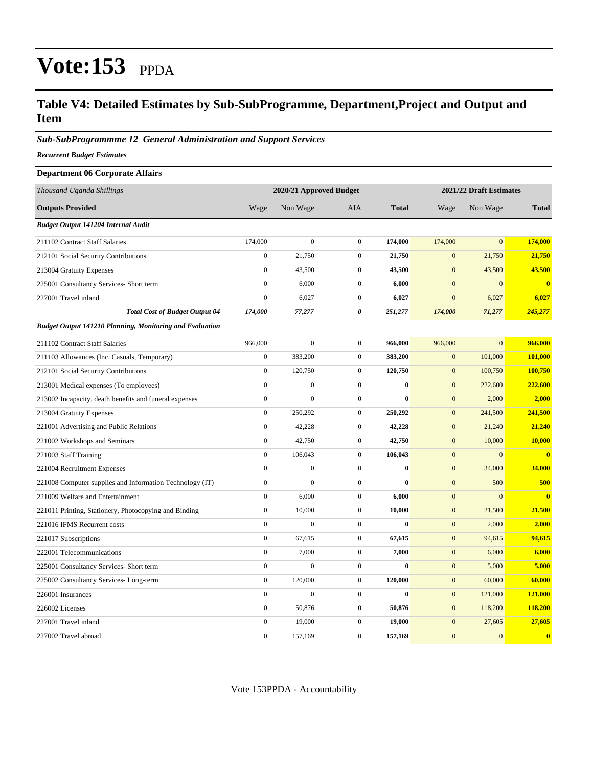### **Table V4: Detailed Estimates by Sub-SubProgramme, Department,Project and Output and Item**

#### *Sub-SubProgrammme 12 General Administration and Support Services*

*Recurrent Budget Estimates*

| <b>Department 06 Corporate Affairs</b>                          |                  |                         |                  |              |                  |                         |              |
|-----------------------------------------------------------------|------------------|-------------------------|------------------|--------------|------------------|-------------------------|--------------|
| Thousand Uganda Shillings                                       |                  | 2020/21 Approved Budget |                  |              |                  | 2021/22 Draft Estimates |              |
| <b>Outputs Provided</b>                                         | Wage             | Non Wage                | <b>AIA</b>       | <b>Total</b> | Wage             | Non Wage                | <b>Total</b> |
| Budget Output 141204 Internal Audit                             |                  |                         |                  |              |                  |                         |              |
| 211102 Contract Staff Salaries                                  | 174,000          | $\mathbf{0}$            | $\boldsymbol{0}$ | 174,000      | 174,000          | $\mathbf{0}$            | 174,000      |
| 212101 Social Security Contributions                            | $\boldsymbol{0}$ | 21,750                  | $\boldsymbol{0}$ | 21,750       | $\boldsymbol{0}$ | 21,750                  | 21,750       |
| 213004 Gratuity Expenses                                        | $\boldsymbol{0}$ | 43,500                  | $\mathbf{0}$     | 43,500       | $\mathbf{0}$     | 43,500                  | 43,500       |
| 225001 Consultancy Services- Short term                         | $\boldsymbol{0}$ | 6,000                   | $\boldsymbol{0}$ | 6,000        | $\mathbf{0}$     | $\mathbf{0}$            | $\bf{0}$     |
| 227001 Travel inland                                            | $\boldsymbol{0}$ | 6,027                   | $\overline{0}$   | 6,027        | $\mathbf{0}$     | 6,027                   | 6,027        |
| <b>Total Cost of Budget Output 04</b>                           | 174,000          | 77,277                  | 0                | 251,277      | 174,000          | 71,277                  | 245,277      |
| <b>Budget Output 141210 Planning, Monitoring and Evaluation</b> |                  |                         |                  |              |                  |                         |              |
| 211102 Contract Staff Salaries                                  | 966,000          | $\boldsymbol{0}$        | $\boldsymbol{0}$ | 966,000      | 966,000          | $\overline{0}$          | 966,000      |
| 211103 Allowances (Inc. Casuals, Temporary)                     | $\overline{0}$   | 383,200                 | $\mathbf{0}$     | 383,200      | $\boldsymbol{0}$ | 101,000                 | 101,000      |
| 212101 Social Security Contributions                            | $\boldsymbol{0}$ | 120,750                 | $\mathbf{0}$     | 120,750      | $\mathbf{0}$     | 100,750                 | 100,750      |
| 213001 Medical expenses (To employees)                          | $\boldsymbol{0}$ | $\boldsymbol{0}$        | $\overline{0}$   | $\bf{0}$     | $\boldsymbol{0}$ | 222,600                 | 222,600      |
| 213002 Incapacity, death benefits and funeral expenses          | $\boldsymbol{0}$ | $\boldsymbol{0}$        | $\boldsymbol{0}$ | $\bf{0}$     | $\mathbf{0}$     | 2,000                   | 2,000        |
| 213004 Gratuity Expenses                                        | $\boldsymbol{0}$ | 250,292                 | $\boldsymbol{0}$ | 250,292      | $\boldsymbol{0}$ | 241,500                 | 241,500      |
| 221001 Advertising and Public Relations                         | $\boldsymbol{0}$ | 42,228                  | $\boldsymbol{0}$ | 42,228       | $\mathbf{0}$     | 21,240                  | 21,240       |
| 221002 Workshops and Seminars                                   | $\boldsymbol{0}$ | 42,750                  | $\mathbf{0}$     | 42,750       | $\mathbf{0}$     | 10,000                  | 10,000       |
| 221003 Staff Training                                           | $\mathbf{0}$     | 106,043                 | $\overline{0}$   | 106,043      | $\mathbf{0}$     | $\mathbf{0}$            | $\bf{0}$     |
| 221004 Recruitment Expenses                                     | $\overline{0}$   | $\boldsymbol{0}$        | $\overline{0}$   | $\bf{0}$     | $\boldsymbol{0}$ | 34,000                  | 34,000       |
| 221008 Computer supplies and Information Technology (IT)        | $\boldsymbol{0}$ | $\boldsymbol{0}$        | $\boldsymbol{0}$ | 0            | $\boldsymbol{0}$ | 500                     | 500          |
| 221009 Welfare and Entertainment                                | $\boldsymbol{0}$ | 6,000                   | $\boldsymbol{0}$ | 6,000        | $\boldsymbol{0}$ | $\boldsymbol{0}$        | $\bf{0}$     |
| 221011 Printing, Stationery, Photocopying and Binding           | $\boldsymbol{0}$ | 10,000                  | $\overline{0}$   | 10,000       | $\boldsymbol{0}$ | 21,500                  | 21,500       |
| 221016 IFMS Recurrent costs                                     | $\boldsymbol{0}$ | $\boldsymbol{0}$        | $\boldsymbol{0}$ | $\bf{0}$     | $\mathbf{0}$     | 2,000                   | 2,000        |
| 221017 Subscriptions                                            | $\boldsymbol{0}$ | 67,615                  | $\boldsymbol{0}$ | 67,615       | $\mathbf{0}$     | 94,615                  | 94,615       |
| 222001 Telecommunications                                       | $\mathbf{0}$     | 7,000                   | $\overline{0}$   | 7,000        | $\mathbf{0}$     | 6,000                   | 6,000        |
| 225001 Consultancy Services- Short term                         | $\boldsymbol{0}$ | $\mathbf{0}$            | $\overline{0}$   | $\bf{0}$     | $\mathbf{0}$     | 5,000                   | 5,000        |
| 225002 Consultancy Services-Long-term                           | $\boldsymbol{0}$ | 120,000                 | $\overline{0}$   | 120,000      | $\boldsymbol{0}$ | 60,000                  | 60,000       |
| 226001 Insurances                                               | $\boldsymbol{0}$ | $\boldsymbol{0}$        | $\boldsymbol{0}$ | $\bf{0}$     | $\mathbf{0}$     | 121,000                 | 121,000      |
| 226002 Licenses                                                 | $\boldsymbol{0}$ | 50,876                  | $\boldsymbol{0}$ | 50,876       | $\mathbf{0}$     | 118,200                 | 118,200      |
| 227001 Travel inland                                            | $\boldsymbol{0}$ | 19,000                  | $\mathbf{0}$     | 19,000       | $\mathbf{0}$     | 27,605                  | 27,605       |
| 227002 Travel abroad                                            | $\mathbf{0}$     | 157,169                 | $\mathbf{0}$     | 157,169      | $\overline{0}$   | $\mathbf{0}$            | $\mathbf{0}$ |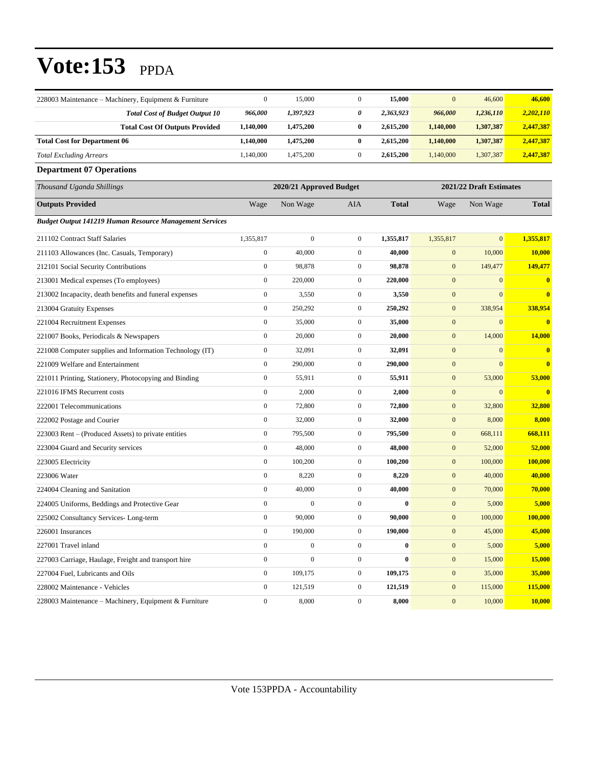| 228003 Maintenance – Machinery, Equipment & Furniture          | $\mathbf{0}$                                       | 15,000           | $\boldsymbol{0}$ | 15,000       | $\mathbf{0}$     | 46,600       | 46,600       |  |  |
|----------------------------------------------------------------|----------------------------------------------------|------------------|------------------|--------------|------------------|--------------|--------------|--|--|
| <b>Total Cost of Budget Output 10</b>                          | 966,000                                            | 1,397,923        | 0                | 2,363,923    | 966,000          | 1,236,110    | 2,202,110    |  |  |
| <b>Total Cost Of Outputs Provided</b>                          | 1,140,000                                          | 1,475,200        | 0                | 2,615,200    | 1,140,000        | 1,307,387    | 2,447,387    |  |  |
| <b>Total Cost for Department 06</b>                            | 1,140,000                                          | 1,475,200        | $\bf{0}$         | 2,615,200    | 1,140,000        | 1,307,387    | 2,447,387    |  |  |
| <b>Total Excluding Arrears</b>                                 | 1,140,000                                          | 1,475,200        | $\boldsymbol{0}$ | 2,615,200    | 1,140,000        | 1,307,387    | 2,447,387    |  |  |
| <b>Department 07 Operations</b>                                |                                                    |                  |                  |              |                  |              |              |  |  |
| Thousand Uganda Shillings                                      | 2021/22 Draft Estimates<br>2020/21 Approved Budget |                  |                  |              |                  |              |              |  |  |
| <b>Outputs Provided</b>                                        | Wage                                               | Non Wage         | AIA              | <b>Total</b> | Wage             | Non Wage     | <b>Total</b> |  |  |
| <b>Budget Output 141219 Human Resource Management Services</b> |                                                    |                  |                  |              |                  |              |              |  |  |
| 211102 Contract Staff Salaries                                 | 1,355,817                                          | $\boldsymbol{0}$ | $\boldsymbol{0}$ | 1,355,817    | 1,355,817        | $\mathbf{0}$ | 1,355,817    |  |  |
| 211103 Allowances (Inc. Casuals, Temporary)                    | $\boldsymbol{0}$                                   | 40,000           | $\boldsymbol{0}$ | 40,000       | $\boldsymbol{0}$ | 10,000       | 10,000       |  |  |
| 212101 Social Security Contributions                           | $\mathbf{0}$                                       | 98,878           | $\boldsymbol{0}$ | 98,878       | $\boldsymbol{0}$ | 149,477      | 149,477      |  |  |
| 213001 Medical expenses (To employees)                         | $\mathbf{0}$                                       | 220,000          | $\boldsymbol{0}$ | 220,000      | $\boldsymbol{0}$ | $\mathbf{0}$ | $\bf{0}$     |  |  |
| 213002 Incapacity, death benefits and funeral expenses         | $\mathbf{0}$                                       | 3,550            | $\boldsymbol{0}$ | 3,550        | $\boldsymbol{0}$ | $\mathbf{0}$ | $\bf{0}$     |  |  |
| 213004 Gratuity Expenses                                       | $\mathbf{0}$                                       | 250,292          | $\boldsymbol{0}$ | 250,292      | $\boldsymbol{0}$ | 338,954      | 338,954      |  |  |
| 221004 Recruitment Expenses                                    | $\boldsymbol{0}$                                   | 35,000           | $\boldsymbol{0}$ | 35,000       | $\boldsymbol{0}$ | $\mathbf{0}$ | $\mathbf{0}$ |  |  |
| 221007 Books, Periodicals & Newspapers                         | $\mathbf{0}$                                       | 20,000           | $\boldsymbol{0}$ | 20,000       | $\boldsymbol{0}$ | 14,000       | 14,000       |  |  |
| 221008 Computer supplies and Information Technology (IT)       | $\mathbf{0}$                                       | 32,091           | $\boldsymbol{0}$ | 32,091       | $\boldsymbol{0}$ | $\mathbf{0}$ | $\bf{0}$     |  |  |
| 221009 Welfare and Entertainment                               | $\mathbf{0}$                                       | 290,000          | $\boldsymbol{0}$ | 290,000      | $\mathbf{0}$     | $\mathbf{0}$ | $\bf{0}$     |  |  |
| 221011 Printing, Stationery, Photocopying and Binding          | $\mathbf{0}$                                       | 55,911           | $\boldsymbol{0}$ | 55,911       | $\boldsymbol{0}$ | 53,000       | 53,000       |  |  |
| 221016 IFMS Recurrent costs                                    | $\boldsymbol{0}$                                   | 2,000            | $\boldsymbol{0}$ | 2,000        | $\boldsymbol{0}$ | $\mathbf{0}$ | $\bf{0}$     |  |  |
| 222001 Telecommunications                                      | $\boldsymbol{0}$                                   | 72,800           | $\boldsymbol{0}$ | 72,800       | $\boldsymbol{0}$ | 32,800       | 32,800       |  |  |
| 222002 Postage and Courier                                     | $\mathbf{0}$                                       | 32,000           | $\boldsymbol{0}$ | 32,000       | $\boldsymbol{0}$ | 8,000        | 8,000        |  |  |
| 223003 Rent – (Produced Assets) to private entities            | $\mathbf{0}$                                       | 795,500          | $\boldsymbol{0}$ | 795,500      | $\boldsymbol{0}$ | 668,111      | 668,111      |  |  |
| 223004 Guard and Security services                             | $\mathbf{0}$                                       | 48,000           | $\boldsymbol{0}$ | 48,000       | $\boldsymbol{0}$ | 52,000       | 52,000       |  |  |
| 223005 Electricity                                             | $\boldsymbol{0}$                                   | 100,200          | $\boldsymbol{0}$ | 100,200      | $\mathbf{0}$     | 100,000      | 100,000      |  |  |
| 223006 Water                                                   | $\mathbf{0}$                                       | 8,220            | $\boldsymbol{0}$ | 8,220        | $\boldsymbol{0}$ | 40,000       | 40,000       |  |  |
| 224004 Cleaning and Sanitation                                 | $\mathbf{0}$                                       | 40,000           | $\boldsymbol{0}$ | 40,000       | $\boldsymbol{0}$ | 70,000       | 70,000       |  |  |
| 224005 Uniforms, Beddings and Protective Gear                  | $\boldsymbol{0}$                                   | $\boldsymbol{0}$ | $\boldsymbol{0}$ | $\bf{0}$     | $\boldsymbol{0}$ | 5,000        | 5,000        |  |  |
| 225002 Consultancy Services-Long-term                          | $\boldsymbol{0}$                                   | 90,000           | $\boldsymbol{0}$ | 90,000       | $\boldsymbol{0}$ | 100,000      | 100,000      |  |  |
| 226001 Insurances                                              | $\boldsymbol{0}$                                   | 190,000          | $\boldsymbol{0}$ | 190,000      | $\boldsymbol{0}$ | 45,000       | 45,000       |  |  |
| 227001 Travel inland                                           | $\boldsymbol{0}$                                   | $\overline{0}$   | $\overline{0}$   | $\bf{0}$     | $\mathbf{0}$     | 5,000        | 5,000        |  |  |
| 227003 Carriage, Haulage, Freight and transport hire           | $\mathbf{0}$                                       | $\boldsymbol{0}$ | $\boldsymbol{0}$ | $\bf{0}$     | $\boldsymbol{0}$ | 15,000       | 15,000       |  |  |
| 227004 Fuel, Lubricants and Oils                               | $\mathbf{0}$                                       | 109,175          | $\boldsymbol{0}$ | 109,175      | $\boldsymbol{0}$ | 35,000       | 35,000       |  |  |
| 228002 Maintenance - Vehicles                                  | $\boldsymbol{0}$                                   | 121,519          | $\boldsymbol{0}$ | 121,519      | $\boldsymbol{0}$ | 115,000      | 115,000      |  |  |
| 228003 Maintenance – Machinery, Equipment & Furniture          | $\mathbf{0}$                                       | 8,000            | $\overline{0}$   | 8,000        | $\boldsymbol{0}$ | 10,000       | 10,000       |  |  |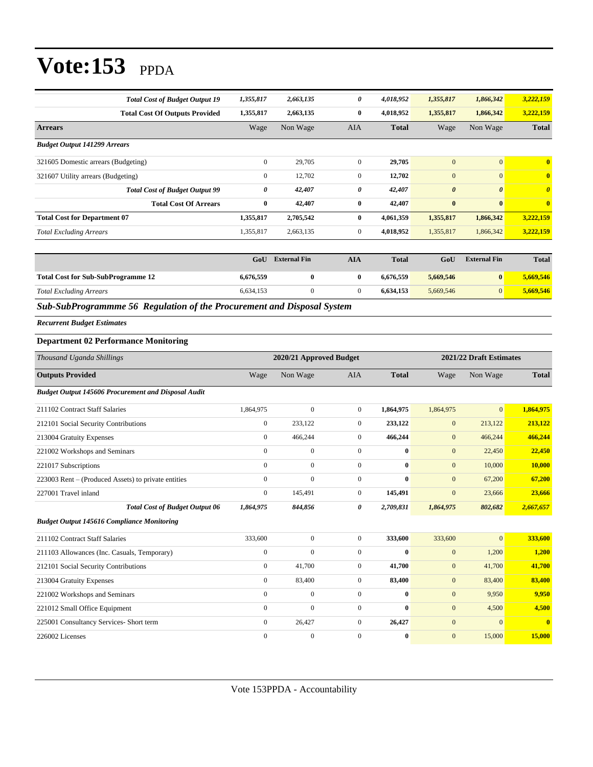| <b>Total Cost of Budget Output 19</b> | 1,355,817        | 2,663,135 | 0            | 4,018,952    | 1,355,817             | 1,866,342             | 3,222,159             |
|---------------------------------------|------------------|-----------|--------------|--------------|-----------------------|-----------------------|-----------------------|
| <b>Total Cost Of Outputs Provided</b> | 1,355,817        | 2,663,135 | $\bf{0}$     | 4,018,952    | 1,355,817             | 1,866,342             | 3,222,159             |
| <b>Arrears</b>                        | Wage             | Non Wage  | <b>AIA</b>   | <b>Total</b> | Wage                  | Non Wage              | <b>Total</b>          |
| <b>Budget Output 141299 Arrears</b>   |                  |           |              |              |                       |                       |                       |
| 321605 Domestic arrears (Budgeting)   | $\mathbf{0}$     | 29,705    | $\mathbf{0}$ | 29,705       | $\mathbf{0}$          | $\mathbf{0}$          | $\bf{0}$              |
| 321607 Utility arrears (Budgeting)    | $\boldsymbol{0}$ | 12,702    | $\mathbf{0}$ | 12,702       | $\mathbf{0}$          | $\mathbf{0}$          | $\bf{0}$              |
| <b>Total Cost of Budget Output 99</b> | 0                | 42,407    | 0            | 42,407       | $\boldsymbol{\theta}$ | $\boldsymbol{\theta}$ | $\boldsymbol{\theta}$ |
| <b>Total Cost Of Arrears</b>          | $\bf{0}$         | 42,407    | $\bf{0}$     | 42,407       | $\bf{0}$              | $\bf{0}$              | $\overline{0}$        |
| <b>Total Cost for Department 07</b>   | 1,355,817        | 2,705,542 | $\bf{0}$     | 4,061,359    | 1,355,817             | 1,866,342             | 3,222,159             |
| <b>Total Excluding Arrears</b>        | 1,355,817        | 2,663,135 | $\mathbf{0}$ | 4,018,952    | 1,355,817             | 1,866,342             | 3,222,159             |

|                                           | GoU       | <b>External Fin</b> | AIA | <b>Total</b> | GoU       | <b>External Fin</b> | <b>Total</b> |
|-------------------------------------------|-----------|---------------------|-----|--------------|-----------|---------------------|--------------|
| <b>Total Cost for Sub-SubProgramme 12</b> | 6,676,559 |                     |     | 6.676.559    | 5.669.546 | $\bf{0}$            | 5,669,546    |
| <b>Total Excluding Arrears</b>            | 6.634.153 |                     |     | 6.634.153    | 5,669,546 | 0                   | 5,669,546    |

*Sub-SubProgrammme 56 Regulation of the Procurement and Disposal System*

*Recurrent Budget Estimates*

#### **Department 02 Performance Monitoring**

| Thousand Uganda Shillings                                  |                | 2020/21 Approved Budget |                |              | 2021/22 Draft Estimates |                |              |
|------------------------------------------------------------|----------------|-------------------------|----------------|--------------|-------------------------|----------------|--------------|
| <b>Outputs Provided</b>                                    | Wage           | Non Wage                | <b>AIA</b>     | <b>Total</b> | Wage                    | Non Wage       | <b>Total</b> |
| <b>Budget Output 145606 Procurement and Disposal Audit</b> |                |                         |                |              |                         |                |              |
| 211102 Contract Staff Salaries                             | 1,864,975      | $\boldsymbol{0}$        | $\overline{0}$ | 1,864,975    | 1,864,975               | $\overline{0}$ | 1,864,975    |
| 212101 Social Security Contributions                       | $\overline{0}$ | 233,122                 | $\overline{0}$ | 233,122      | $\mathbf{0}$            | 213,122        | 213,122      |
| 213004 Gratuity Expenses                                   | $\overline{0}$ | 466,244                 | $\overline{0}$ | 466,244      | $\mathbf{0}$            | 466,244        | 466,244      |
| 221002 Workshops and Seminars                              | $\mathbf{0}$   | $\mathbf{0}$            | $\overline{0}$ | $\bf{0}$     | $\mathbf{0}$            | 22,450         | 22,450       |
| 221017 Subscriptions                                       | $\mathbf{0}$   | $\overline{0}$          | $\overline{0}$ | $\mathbf{0}$ | $\mathbf{0}$            | 10,000         | 10,000       |
| 223003 Rent – (Produced Assets) to private entities        | $\mathbf{0}$   | $\mathbf{0}$            | $\overline{0}$ | $\bf{0}$     | $\mathbf{0}$            | 67,200         | 67,200       |
| 227001 Travel inland                                       | $\mathbf{0}$   | 145,491                 | $\overline{0}$ | 145,491      | $\mathbf{0}$            | 23,666         | 23,666       |
| <b>Total Cost of Budget Output 06</b>                      | 1,864,975      | 844,856                 | 0              | 2,709,831    | 1,864,975               | 802,682        | 2,667,657    |
| <b>Budget Output 145616 Compliance Monitoring</b>          |                |                         |                |              |                         |                |              |
| 211102 Contract Staff Salaries                             | 333,600        | $\mathbf{0}$            | $\overline{0}$ | 333,600      | 333,600                 | $\overline{0}$ | 333,600      |
| 211103 Allowances (Inc. Casuals, Temporary)                | $\mathbf{0}$   | $\mathbf{0}$            | $\overline{0}$ | $\bf{0}$     | $\mathbf{0}$            | 1,200          | 1,200        |
| 212101 Social Security Contributions                       | $\mathbf{0}$   | 41,700                  | $\overline{0}$ | 41,700       | $\mathbf{0}$            | 41,700         | 41,700       |
| 213004 Gratuity Expenses                                   | $\mathbf{0}$   | 83,400                  | $\overline{0}$ | 83,400       | $\mathbf{0}$            | 83,400         | 83,400       |
| 221002 Workshops and Seminars                              | $\mathbf{0}$   | $\mathbf{0}$            | $\overline{0}$ | $\mathbf{0}$ | $\mathbf{0}$            | 9,950          | 9,950        |
| 221012 Small Office Equipment                              | $\mathbf{0}$   | $\mathbf{0}$            | $\overline{0}$ | $\bf{0}$     | $\mathbf{0}$            | 4,500          | 4,500        |
| 225001 Consultancy Services- Short term                    | $\mathbf{0}$   | 26,427                  | $\overline{0}$ | 26,427       | $\mathbf{0}$            | $\mathbf{0}$   | $\mathbf{0}$ |
| 226002 Licenses                                            | $\mathbf{0}$   | $\mathbf{0}$            | $\mathbf{0}$   | $\bf{0}$     | $\mathbf{0}$            | 15,000         | 15,000       |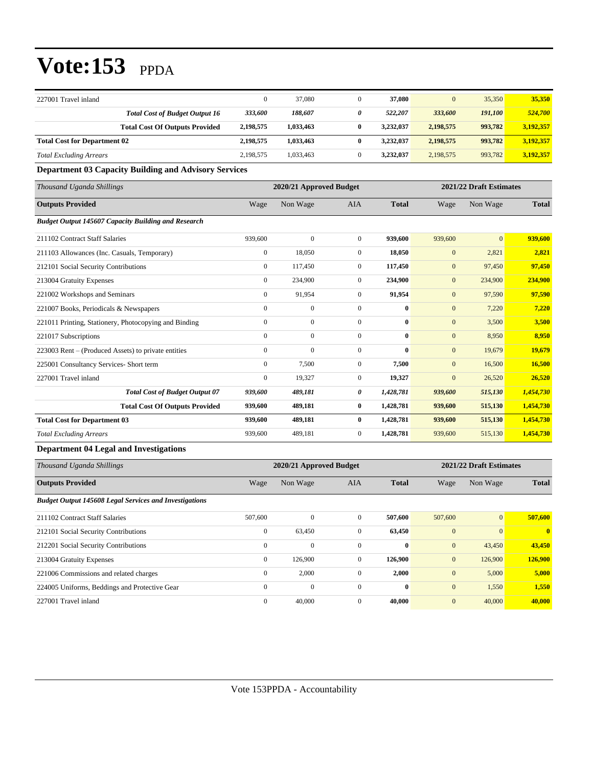| 227001 Travel inland                |                                       | 0         | 37,080    | 37,080    | $\mathbf{0}$ | 35,350  | 35,350    |
|-------------------------------------|---------------------------------------|-----------|-----------|-----------|--------------|---------|-----------|
|                                     | <b>Total Cost of Budget Output 16</b> | 333,600   | 188,607   | 522,207   | 333,600      | 191,100 | 524,700   |
|                                     | <b>Total Cost Of Outputs Provided</b> | 2,198,575 | 1,033,463 | 3.232,037 | 2,198,575    | 993,782 | 3,192,357 |
| <b>Total Cost for Department 02</b> |                                       | 2,198,575 | 1,033,463 | 3,232,037 | 2,198,575    | 993,782 | 3,192,357 |
| <b>Total Excluding Arrears</b>      |                                       | 2,198,575 | 1,033,463 | 3.232,037 | 2,198,575    | 993,782 | 3,192,357 |

**Department 03 Capacity Building and Advisory Services**

| Thousand Uganda Shillings                                  |                  | 2020/21 Approved Budget |                  |              | 2021/22 Draft Estimates |                |              |
|------------------------------------------------------------|------------------|-------------------------|------------------|--------------|-------------------------|----------------|--------------|
| <b>Outputs Provided</b>                                    | Wage             | Non Wage                | <b>AIA</b>       | <b>Total</b> | Wage                    | Non Wage       | <b>Total</b> |
| <b>Budget Output 145607 Capacity Building and Research</b> |                  |                         |                  |              |                         |                |              |
| 211102 Contract Staff Salaries                             | 939,600          | $\mathbf{0}$            | $\mathbf{0}$     | 939,600      | 939,600                 | $\overline{0}$ | 939,600      |
| 211103 Allowances (Inc. Casuals, Temporary)                | $\mathbf{0}$     | 18.050                  | $\mathbf{0}$     | 18,050       | $\mathbf{0}$            | 2,821          | 2,821        |
| 212101 Social Security Contributions                       | $\mathbf{0}$     | 117,450                 | $\mathbf{0}$     | 117,450      | $\mathbf{0}$            | 97,450         | 97,450       |
| 213004 Gratuity Expenses                                   | $\mathbf{0}$     | 234,900                 | $\mathbf{0}$     | 234,900      | $\mathbf{0}$            | 234,900        | 234,900      |
| 221002 Workshops and Seminars                              | $\boldsymbol{0}$ | 91,954                  | $\boldsymbol{0}$ | 91,954       | $\mathbf{0}$            | 97,590         | 97,590       |
| 221007 Books, Periodicals & Newspapers                     | $\boldsymbol{0}$ | $\boldsymbol{0}$        | $\mathbf{0}$     | $\bf{0}$     | $\mathbf{0}$            | 7,220          | 7,220        |
| 221011 Printing, Stationery, Photocopying and Binding      | $\mathbf{0}$     | $\boldsymbol{0}$        | $\mathbf{0}$     | $\bf{0}$     | $\mathbf{0}$            | 3,500          | 3,500        |
| 221017 Subscriptions                                       | $\mathbf{0}$     | $\boldsymbol{0}$        | $\mathbf{0}$     | $\bf{0}$     | $\mathbf{0}$            | 8,950          | 8,950        |
| 223003 Rent – (Produced Assets) to private entities        | $\mathbf{0}$     | $\overline{0}$          | $\mathbf{0}$     | $\mathbf{0}$ | $\mathbf{0}$            | 19,679         | 19,679       |
| 225001 Consultancy Services- Short term                    | $\mathbf{0}$     | 7,500                   | $\mathbf{0}$     | 7,500        | $\mathbf{0}$            | 16,500         | 16,500       |
| 227001 Travel inland                                       | $\mathbf{0}$     | 19,327                  | $\mathbf{0}$     | 19,327       | $\mathbf{0}$            | 26,520         | 26,520       |
| <b>Total Cost of Budget Output 07</b>                      | 939,600          | 489,181                 | 0                | 1,428,781    | 939,600                 | 515,130        | 1,454,730    |
| <b>Total Cost Of Outputs Provided</b>                      | 939,600          | 489,181                 | $\bf{0}$         | 1,428,781    | 939,600                 | 515,130        | 1,454,730    |
| <b>Total Cost for Department 03</b>                        | 939,600          | 489,181                 | $\bf{0}$         | 1,428,781    | 939,600                 | 515,130        | 1,454,730    |
| <b>Total Excluding Arrears</b>                             | 939,600          | 489,181                 | $\mathbf{0}$     | 1,428,781    | 939,600                 | 515,130        | 1,454,730    |

#### **Department 04 Legal and Investigations**

| Thousand Uganda Shillings                                     |                  | 2020/21 Approved Budget |                |              | 2021/22 Draft Estimates |                 |              |  |
|---------------------------------------------------------------|------------------|-------------------------|----------------|--------------|-------------------------|-----------------|--------------|--|
| <b>Outputs Provided</b>                                       | Wage             | Non Wage                | <b>AIA</b>     | <b>Total</b> | Wage                    | Non Wage        | <b>Total</b> |  |
| <b>Budget Output 145608 Legal Services and Investigations</b> |                  |                         |                |              |                         |                 |              |  |
| 211102 Contract Staff Salaries                                | 507,600          | $\Omega$                | $\mathbf{0}$   | 507,600      | 507,600                 | $\vert 0 \vert$ | 507,600      |  |
| 212101 Social Security Contributions                          | $\boldsymbol{0}$ | 63,450                  | $\mathbf{0}$   | 63,450       | $\mathbf{0}$            | $\overline{0}$  | $\mathbf{0}$ |  |
| 212201 Social Security Contributions                          | $\mathbf{0}$     | $\mathbf{0}$            | $\overline{0}$ | $\bf{0}$     | $\mathbf{0}$            | 43,450          | 43,450       |  |
| 213004 Gratuity Expenses                                      | $\mathbf{0}$     | 126,900                 | $\mathbf{0}$   | 126,900      | $\mathbf{0}$            | 126,900         | 126,900      |  |
| 221006 Commissions and related charges                        | $\mathbf{0}$     | 2,000                   | $\mathbf{0}$   | 2,000        | $\mathbf{0}$            | 5,000           | 5,000        |  |
| 224005 Uniforms, Beddings and Protective Gear                 | $\mathbf{0}$     | $\mathbf{0}$            | $\mathbf{0}$   | $\mathbf{0}$ | $\mathbf{0}$            | 1,550           | 1,550        |  |
| 227001 Travel inland                                          | $\mathbf{0}$     | 40,000                  | $\Omega$       | 40,000       | $\mathbf{0}$            | 40,000          | 40,000       |  |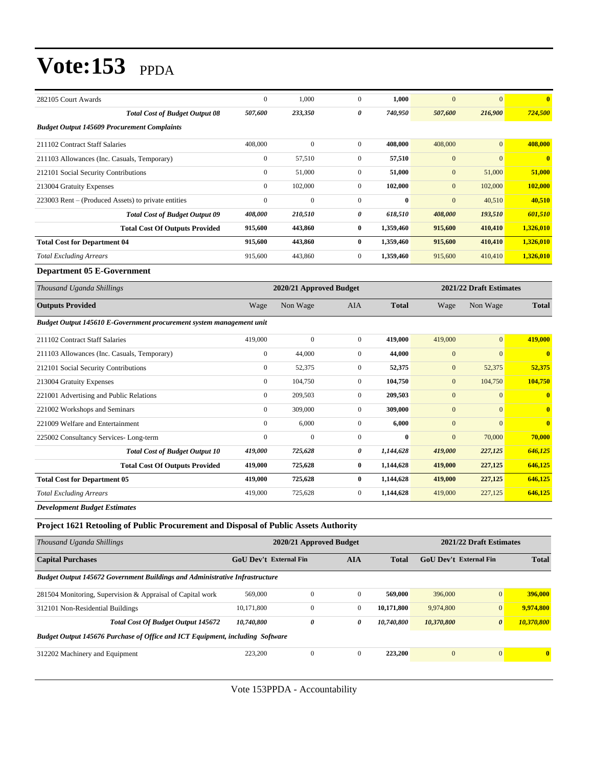| 282105 Court Awards                                                  | $\mathbf{0}$            | 1.000          | $\overline{0}$ | 1.000                   | $\Omega$       | $\overline{0}$ | $\mathbf{0}$            |
|----------------------------------------------------------------------|-------------------------|----------------|----------------|-------------------------|----------------|----------------|-------------------------|
| <b>Total Cost of Budget Output 08</b>                                | 507,600                 | 233,350        | 0              | 740,950                 | 507,600        | 216,900        | 724,500                 |
| <b>Budget Output 145609 Procurement Complaints</b>                   |                         |                |                |                         |                |                |                         |
| 211102 Contract Staff Salaries                                       | 408,000                 | $\overline{0}$ | $\overline{0}$ | 408,000                 | 408,000        | $\overline{0}$ | 408,000                 |
| 211103 Allowances (Inc. Casuals, Temporary)                          | $\boldsymbol{0}$        | 57,510         | $\overline{0}$ | 57,510                  | $\mathbf{0}$   | $\mathbf{0}$   | $\overline{\mathbf{0}}$ |
| 212101 Social Security Contributions                                 | $\boldsymbol{0}$        | 51,000         | $\overline{0}$ | 51,000                  | $\mathbf{0}$   | 51,000         | 51,000                  |
| 213004 Gratuity Expenses                                             | $\Omega$                | 102,000        | $\overline{0}$ | 102,000                 | $\mathbf{0}$   | 102,000        | 102,000                 |
| 223003 Rent – (Produced Assets) to private entities                  | $\overline{0}$          | $\overline{0}$ | $\overline{0}$ | $\bf{0}$                | $\overline{0}$ | 40,510         | 40,510                  |
| <b>Total Cost of Budget Output 09</b>                                | 408,000                 | 210,510        | 0              | 618,510                 | 408,000        | 193,510        | 601,510                 |
| <b>Total Cost Of Outputs Provided</b>                                | 915,600                 | 443,860        | $\bf{0}$       | 1,359,460               | 915,600        | 410,410        | 1,326,010               |
| <b>Total Cost for Department 04</b>                                  | 915,600                 | 443,860        | $\bf{0}$       | 1,359,460               | 915,600        | 410,410        | 1,326,010               |
| <b>Total Excluding Arrears</b>                                       | 915,600                 | 443,860        | $\overline{0}$ | 1,359,460               | 915,600        | 410,410        | 1,326,010               |
| <b>Department 05 E-Government</b>                                    |                         |                |                |                         |                |                |                         |
| Thousand Uganda Shillings                                            | 2020/21 Approved Budget |                |                | 2021/22 Draft Estimates |                |                |                         |
| <b>Outputs Provided</b>                                              | Wage                    | Non Wage       | <b>AIA</b>     | <b>Total</b>            | Wage           | Non Wage       | <b>Total</b>            |
| Budget Output 145610 E-Government procurement system management unit |                         |                |                |                         |                |                |                         |
| 211102 Contract Staff Salaries                                       | 419,000                 | $\overline{0}$ | $\overline{0}$ | 419,000                 | 419,000        | $\overline{0}$ | 419,000                 |
| 211103 Allowances (Inc. Casuals, Temporary)                          | $\overline{0}$          | 44,000         | $\overline{0}$ | 44,000                  | $\overline{0}$ | $\overline{0}$ | $\overline{\mathbf{0}}$ |
| 212101 Social Security Contributions                                 | $\boldsymbol{0}$        | 52,375         | $\overline{0}$ | 52,375                  | $\mathbf{0}$   | 52,375         | 52,375                  |
| 213004 Gratuity Expenses                                             | $\boldsymbol{0}$        | 104,750        | $\overline{0}$ | 104,750                 | $\mathbf{0}$   | 104,750        | 104,750                 |
| 221001 Advertising and Public Relations                              | $\boldsymbol{0}$        | 209,503        | $\overline{0}$ | 209,503                 | $\mathbf{0}$   | $\mathbf{0}$   | $\overline{\mathbf{0}}$ |
| 221002 Workshops and Seminars                                        | $\overline{0}$          | 309,000        | $\overline{0}$ | 309,000                 | $\overline{0}$ | $\overline{0}$ | $\overline{\mathbf{0}}$ |
| 221009 Welfare and Entertainment                                     | $\mathbf{0}$            | 6,000          | $\overline{0}$ | 6,000                   | $\mathbf{0}$   | $\overline{0}$ | $\mathbf{0}$            |
| 225002 Consultancy Services-Long-term                                | $\overline{0}$          | $\theta$       | $\overline{0}$ | $\bf{0}$                | $\overline{0}$ | 70,000         | 70,000                  |
| <b>Total Cost of Budget Output 10</b>                                | 419,000                 | 725,628        | 0              | 1,144,628               | 419,000        | 227,125        | 646,125                 |
| <b>Total Cost Of Outputs Provided</b>                                | 419,000                 | 725,628        | $\bf{0}$       | 1,144,628               | 419,000        | 227,125        | 646,125                 |
| <b>Total Cost for Department 05</b>                                  | 419,000                 | 725,628        | $\bf{0}$       | 1,144,628               | 419,000        | 227,125        | 646,125                 |
| <b>Total Excluding Arrears</b>                                       | 419,000                 | 725,628        | $\overline{0}$ | 1,144,628               | 419,000        | 227,125        | 646,125                 |
| <b>Development Budget Estimates</b>                                  |                         |                |                |                         |                |                |                         |

### **Project 1621 Retooling of Public Procurement and Disposal of Public Assets Authority**

| 2020/21 Approved Budget                                                            |                            |                               |            | 2021/22 Draft Estimates |                       |                               |  |  |  |  |
|------------------------------------------------------------------------------------|----------------------------|-------------------------------|------------|-------------------------|-----------------------|-------------------------------|--|--|--|--|
|                                                                                    | <b>AIA</b><br><b>Total</b> |                               |            | <b>Total</b>            |                       |                               |  |  |  |  |
| <b>Budget Output 145672 Government Buildings and Administrative Infrastructure</b> |                            |                               |            |                         |                       |                               |  |  |  |  |
| 569,000                                                                            | $\mathbf{0}$               | $\mathbf{0}$                  | 569,000    | 396,000                 | $\mathbf{0}$          | 396,000                       |  |  |  |  |
| 10.171.800                                                                         | $\mathbf{0}$               | $\mathbf{0}$                  | 10.171.800 | 9,974,800               | $\mathbf{0}$          | 9,974,800                     |  |  |  |  |
| 10,740,800                                                                         | $\boldsymbol{\theta}$      | 0                             | 10,740,800 | 10,370,800              | $\boldsymbol{\theta}$ | 10,370,800                    |  |  |  |  |
| Budget Output 145676 Purchase of Office and ICT Equipment, including Software      |                            |                               |            |                         |                       |                               |  |  |  |  |
| 223,200                                                                            | $\mathbf{0}$               | $\mathbf{0}$                  | 223,200    | $\mathbf{0}$            | $\overline{0}$        | $\bf{0}$                      |  |  |  |  |
|                                                                                    |                            | <b>GoU Dev't External Fin</b> |            |                         |                       | <b>GoU</b> Dev't External Fin |  |  |  |  |